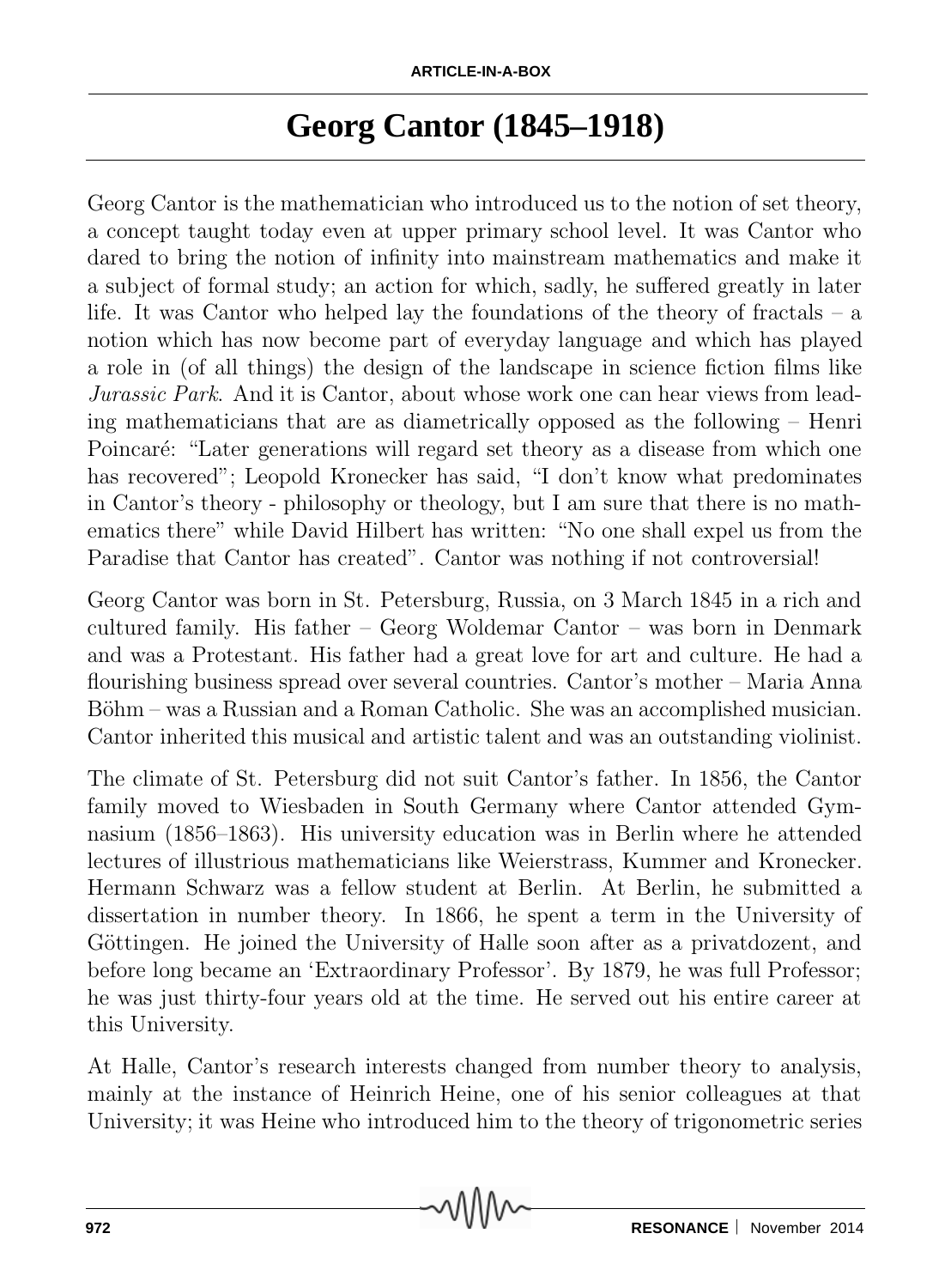## **Georg Cantor (1845–1918)**

Georg Cantor is the mathematician who introduced us to the notion of set theory, a concept taught today even at upper primary school level. It was Cantor who dared to bring the notion of infinity into mainstream mathematics and make it a subject of formal study; an action for which, sadly, he suffered greatly in later life. It was Cantor who helped lay the foundations of the theory of fractals – a notion which has now become part of everyday language and which has played a role in (of all things) the design of the landscape in science fiction films like *Jurassic Park*. And it is Cantor, about whose work one can hear views from leading mathematicians that are as diametrically opposed as the following – Henri Poincaré: "Later generations will regard set theory as a disease from which one has recovered"; Leopold Kronecker has said, "I don't know what predominates in Cantor's theory - philosophy or theology, but I am sure that there is no mathematics there" while David Hilbert has written: "No one shall expel us from the Paradise that Cantor has created". Cantor was nothing if not controversial!

Georg Cantor was born in St. Petersburg, Russia, on 3 March 1845 in a rich and cultured family. His father – Georg Woldemar Cantor – was born in Denmark and was a Protestant. His father had a great love for art and culture. He had a flourishing business spread over several countries. Cantor's mother – Maria Anna Böhm – was a Russian and a Roman Catholic. She was an accomplished musician. Cantor inherited this musical and artistic talent and was an outstanding violinist.

The climate of St. Petersburg did not suit Cantor's father. In 1856, the Cantor family moved to Wiesbaden in South Germany where Cantor attended Gymnasium (1856–1863). His university education was in Berlin where he attended lectures of illustrious mathematicians like Weierstrass, Kummer and Kronecker. Hermann Schwarz was a fellow student at Berlin. At Berlin, he submitted a dissertation in number theory. In 1866, he spent a term in the University of Göttingen. He joined the University of Halle soon after as a private ozent, and before long became an 'Extraordinary Professor'. By 1879, he was full Professor; he was just thirty-four years old at the time. He served out his entire career at this University.

At Halle, Cantor's research interests changed from number theory to analysis, mainly at the instance of Heinrich Heine, one of his senior colleagues at that University; it was Heine who introduced him to the theory of trigonometric series